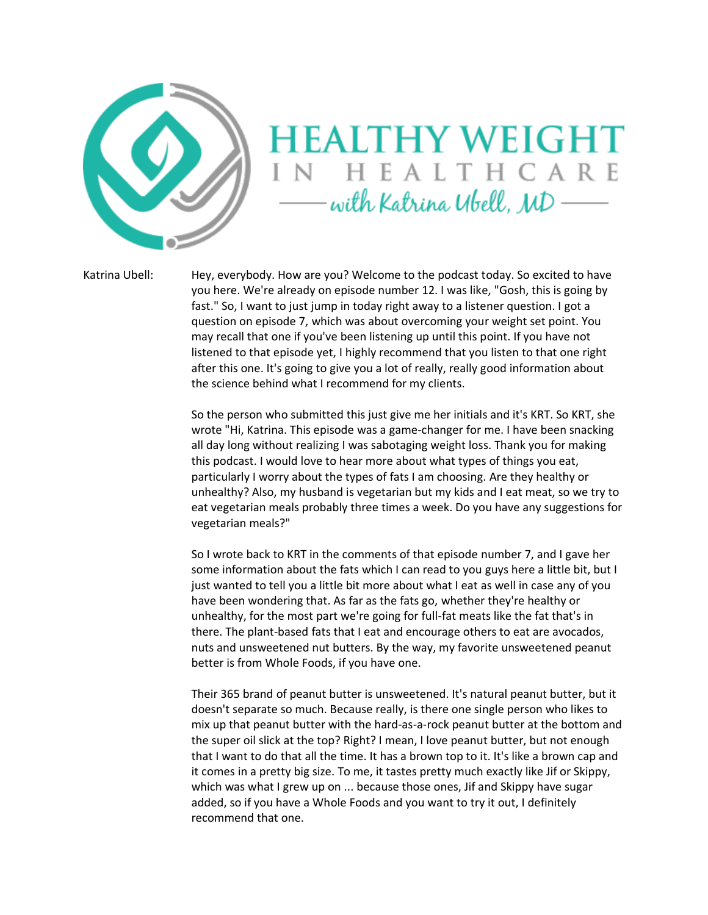

## **HEALTHY WEIGHT** IN HEALTHCARE with Katrina Ubell, MD

Katrina Ubell: Hey, everybody. How are you? Welcome to the podcast today. So excited to have you here. We're already on episode number 12. I was like, "Gosh, this is going by fast." So, I want to just jump in today right away to a listener question. I got a question on episode 7, which was about overcoming your weight set point. You may recall that one if you've been listening up until this point. If you have not listened to that episode yet, I highly recommend that you listen to that one right after this one. It's going to give you a lot of really, really good information about the science behind what I recommend for my clients.

> So the person who submitted this just give me her initials and it's KRT. So KRT, she wrote "Hi, Katrina. This episode was a game-changer for me. I have been snacking all day long without realizing I was sabotaging weight loss. Thank you for making this podcast. I would love to hear more about what types of things you eat, particularly I worry about the types of fats I am choosing. Are they healthy or unhealthy? Also, my husband is vegetarian but my kids and I eat meat, so we try to eat vegetarian meals probably three times a week. Do you have any suggestions for vegetarian meals?"

> So I wrote back to KRT in the comments of that episode number 7, and I gave her some information about the fats which I can read to you guys here a little bit, but I just wanted to tell you a little bit more about what I eat as well in case any of you have been wondering that. As far as the fats go, whether they're healthy or unhealthy, for the most part we're going for full-fat meats like the fat that's in there. The plant-based fats that I eat and encourage others to eat are avocados, nuts and unsweetened nut butters. By the way, my favorite unsweetened peanut better is from Whole Foods, if you have one.

Their 365 brand of peanut butter is unsweetened. It's natural peanut butter, but it doesn't separate so much. Because really, is there one single person who likes to mix up that peanut butter with the hard-as-a-rock peanut butter at the bottom and the super oil slick at the top? Right? I mean, I love peanut butter, but not enough that I want to do that all the time. It has a brown top to it. It's like a brown cap and it comes in a pretty big size. To me, it tastes pretty much exactly like Jif or Skippy, which was what I grew up on ... because those ones, Jif and Skippy have sugar added, so if you have a Whole Foods and you want to try it out, I definitely recommend that one.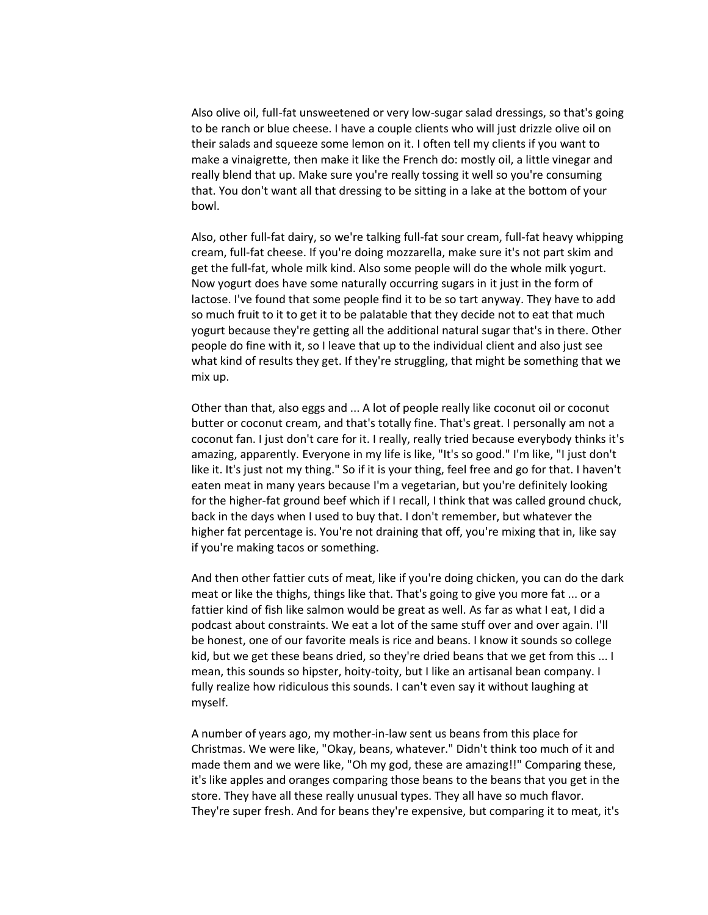Also olive oil, full-fat unsweetened or very low-sugar salad dressings, so that's going to be ranch or blue cheese. I have a couple clients who will just drizzle olive oil on their salads and squeeze some lemon on it. I often tell my clients if you want to make a vinaigrette, then make it like the French do: mostly oil, a little vinegar and really blend that up. Make sure you're really tossing it well so you're consuming that. You don't want all that dressing to be sitting in a lake at the bottom of your bowl.

Also, other full-fat dairy, so we're talking full-fat sour cream, full-fat heavy whipping cream, full-fat cheese. If you're doing mozzarella, make sure it's not part skim and get the full-fat, whole milk kind. Also some people will do the whole milk yogurt. Now yogurt does have some naturally occurring sugars in it just in the form of lactose. I've found that some people find it to be so tart anyway. They have to add so much fruit to it to get it to be palatable that they decide not to eat that much yogurt because they're getting all the additional natural sugar that's in there. Other people do fine with it, so I leave that up to the individual client and also just see what kind of results they get. If they're struggling, that might be something that we mix up.

Other than that, also eggs and ... A lot of people really like coconut oil or coconut butter or coconut cream, and that's totally fine. That's great. I personally am not a coconut fan. I just don't care for it. I really, really tried because everybody thinks it's amazing, apparently. Everyone in my life is like, "It's so good." I'm like, "I just don't like it. It's just not my thing." So if it is your thing, feel free and go for that. I haven't eaten meat in many years because I'm a vegetarian, but you're definitely looking for the higher-fat ground beef which if I recall, I think that was called ground chuck, back in the days when I used to buy that. I don't remember, but whatever the higher fat percentage is. You're not draining that off, you're mixing that in, like say if you're making tacos or something.

And then other fattier cuts of meat, like if you're doing chicken, you can do the dark meat or like the thighs, things like that. That's going to give you more fat ... or a fattier kind of fish like salmon would be great as well. As far as what I eat, I did a podcast about constraints. We eat a lot of the same stuff over and over again. I'll be honest, one of our favorite meals is rice and beans. I know it sounds so college kid, but we get these beans dried, so they're dried beans that we get from this ... I mean, this sounds so hipster, hoity-toity, but I like an artisanal bean company. I fully realize how ridiculous this sounds. I can't even say it without laughing at myself.

A number of years ago, my mother-in-law sent us beans from this place for Christmas. We were like, "Okay, beans, whatever." Didn't think too much of it and made them and we were like, "Oh my god, these are amazing!!" Comparing these, it's like apples and oranges comparing those beans to the beans that you get in the store. They have all these really unusual types. They all have so much flavor. They're super fresh. And for beans they're expensive, but comparing it to meat, it's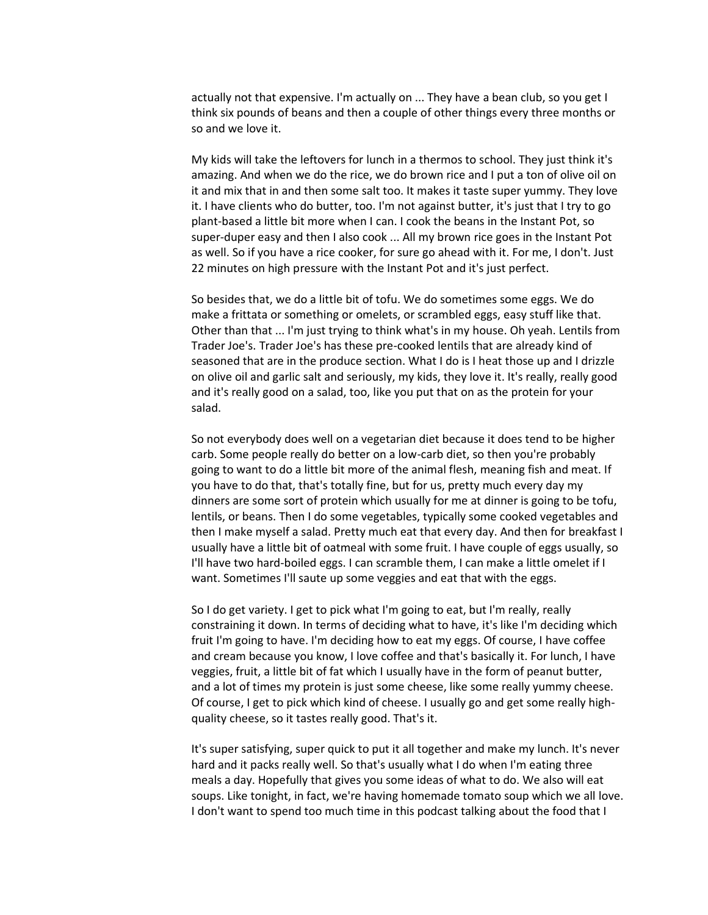actually not that expensive. I'm actually on ... They have a bean club, so you get I think six pounds of beans and then a couple of other things every three months or so and we love it.

My kids will take the leftovers for lunch in a thermos to school. They just think it's amazing. And when we do the rice, we do brown rice and I put a ton of olive oil on it and mix that in and then some salt too. It makes it taste super yummy. They love it. I have clients who do butter, too. I'm not against butter, it's just that I try to go plant-based a little bit more when I can. I cook the beans in the Instant Pot, so super-duper easy and then I also cook ... All my brown rice goes in the Instant Pot as well. So if you have a rice cooker, for sure go ahead with it. For me, I don't. Just 22 minutes on high pressure with the Instant Pot and it's just perfect.

So besides that, we do a little bit of tofu. We do sometimes some eggs. We do make a frittata or something or omelets, or scrambled eggs, easy stuff like that. Other than that ... I'm just trying to think what's in my house. Oh yeah. Lentils from Trader Joe's. Trader Joe's has these pre-cooked lentils that are already kind of seasoned that are in the produce section. What I do is I heat those up and I drizzle on olive oil and garlic salt and seriously, my kids, they love it. It's really, really good and it's really good on a salad, too, like you put that on as the protein for your salad.

So not everybody does well on a vegetarian diet because it does tend to be higher carb. Some people really do better on a low-carb diet, so then you're probably going to want to do a little bit more of the animal flesh, meaning fish and meat. If you have to do that, that's totally fine, but for us, pretty much every day my dinners are some sort of protein which usually for me at dinner is going to be tofu, lentils, or beans. Then I do some vegetables, typically some cooked vegetables and then I make myself a salad. Pretty much eat that every day. And then for breakfast I usually have a little bit of oatmeal with some fruit. I have couple of eggs usually, so I'll have two hard-boiled eggs. I can scramble them, I can make a little omelet if I want. Sometimes I'll saute up some veggies and eat that with the eggs.

So I do get variety. I get to pick what I'm going to eat, but I'm really, really constraining it down. In terms of deciding what to have, it's like I'm deciding which fruit I'm going to have. I'm deciding how to eat my eggs. Of course, I have coffee and cream because you know, I love coffee and that's basically it. For lunch, I have veggies, fruit, a little bit of fat which I usually have in the form of peanut butter, and a lot of times my protein is just some cheese, like some really yummy cheese. Of course, I get to pick which kind of cheese. I usually go and get some really highquality cheese, so it tastes really good. That's it.

It's super satisfying, super quick to put it all together and make my lunch. It's never hard and it packs really well. So that's usually what I do when I'm eating three meals a day. Hopefully that gives you some ideas of what to do. We also will eat soups. Like tonight, in fact, we're having homemade tomato soup which we all love. I don't want to spend too much time in this podcast talking about the food that I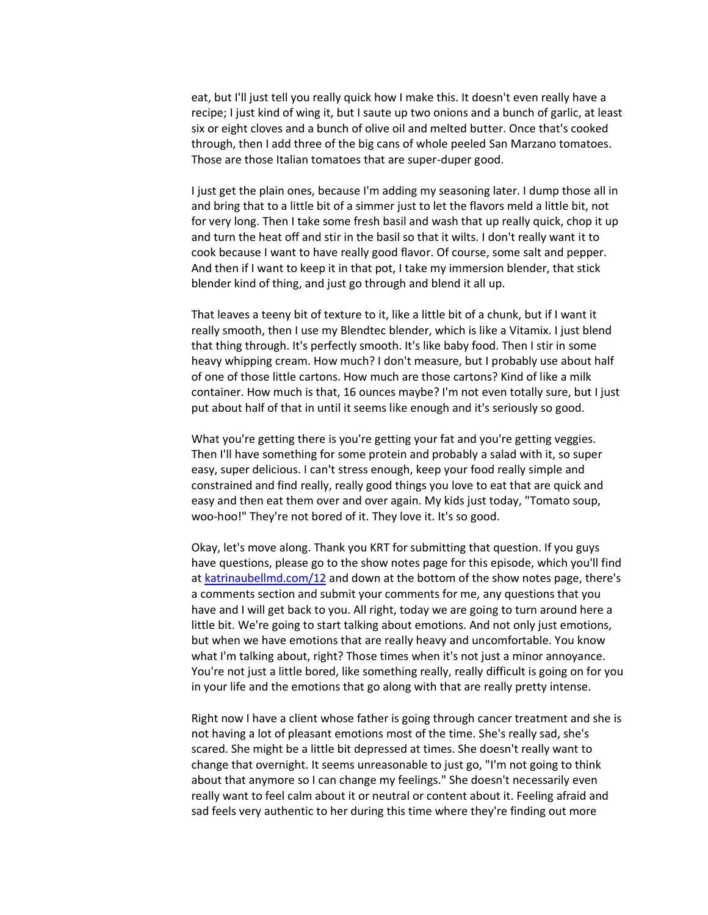eat, but I'll just tell you really quick how I make this. It doesn't even really have a recipe; I just kind of wing it, but I saute up two onions and a bunch of garlic, at least six or eight cloves and a bunch of olive oil and melted butter. Once that's cooked through, then I add three of the big cans of whole peeled San Marzano tomatoes. Those are those Italian tomatoes that are super-duper good.

I just get the plain ones, because I'm adding my seasoning later. I dump those all in and bring that to a little bit of a simmer just to let the flavors meld a little bit, not for very long. Then I take some fresh basil and wash that up really quick, chop it up and turn the heat off and stir in the basil so that it wilts. I don't really want it to cook because I want to have really good flavor. Of course, some salt and pepper. And then if I want to keep it in that pot, I take my immersion blender, that stick blender kind of thing, and just go through and blend it all up.

That leaves a teeny bit of texture to it, like a little bit of a chunk, but if I want it really smooth, then I use my Blendtec blender, which is like a Vitamix. I just blend that thing through. It's perfectly smooth. It's like baby food. Then I stir in some heavy whipping cream. How much? I don't measure, but I probably use about half of one of those little cartons. How much are those cartons? Kind of like a milk container. How much is that, 16 ounces maybe? I'm not even totally sure, but I just put about half of that in until it seems like enough and it's seriously so good.

What you're getting there is you're getting your fat and you're getting veggies. Then I'll have something for some protein and probably a salad with it, so super easy, super delicious. I can't stress enough, keep your food really simple and constrained and find really, really good things you love to eat that are quick and easy and then eat them over and over again. My kids just today, "Tomato soup, woo-hoo!" They're not bored of it. They love it. It's so good.

Okay, let's move along. Thank you KRT for submitting that question. If you guys have questions, please go to the show notes page for this episode, which you'll find at [katrinaubellmd.com/12](http://katrinaubellmd.com/12) and down at the bottom of the show notes page, there's a comments section and submit your comments for me, any questions that you have and I will get back to you. All right, today we are going to turn around here a little bit. We're going to start talking about emotions. And not only just emotions, but when we have emotions that are really heavy and uncomfortable. You know what I'm talking about, right? Those times when it's not just a minor annoyance. You're not just a little bored, like something really, really difficult is going on for you in your life and the emotions that go along with that are really pretty intense.

Right now I have a client whose father is going through cancer treatment and she is not having a lot of pleasant emotions most of the time. She's really sad, she's scared. She might be a little bit depressed at times. She doesn't really want to change that overnight. It seems unreasonable to just go, "I'm not going to think about that anymore so I can change my feelings." She doesn't necessarily even really want to feel calm about it or neutral or content about it. Feeling afraid and sad feels very authentic to her during this time where they're finding out more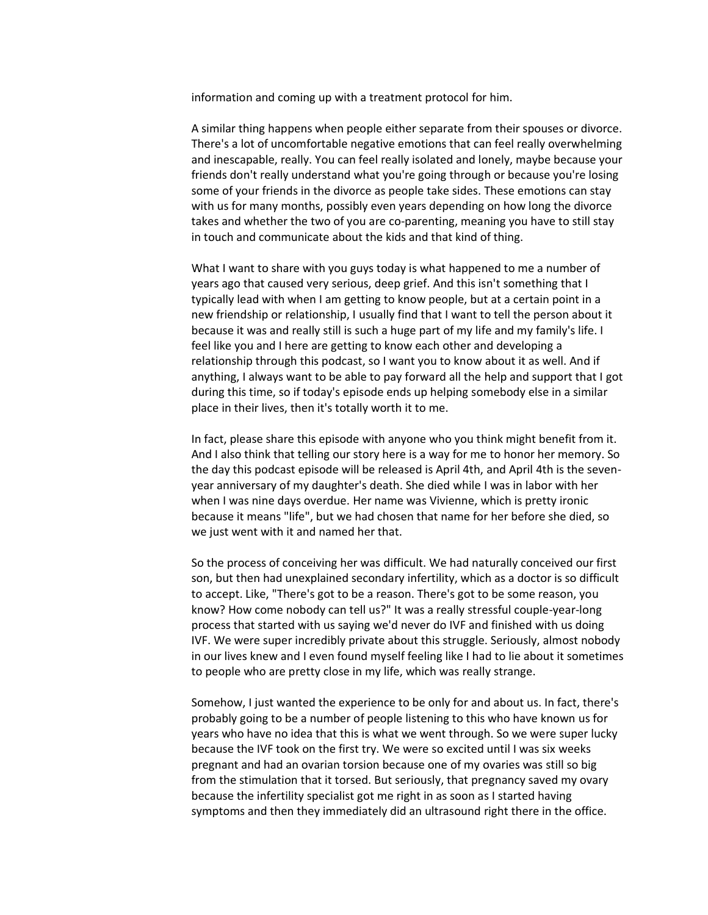information and coming up with a treatment protocol for him.

A similar thing happens when people either separate from their spouses or divorce. There's a lot of uncomfortable negative emotions that can feel really overwhelming and inescapable, really. You can feel really isolated and lonely, maybe because your friends don't really understand what you're going through or because you're losing some of your friends in the divorce as people take sides. These emotions can stay with us for many months, possibly even years depending on how long the divorce takes and whether the two of you are co-parenting, meaning you have to still stay in touch and communicate about the kids and that kind of thing.

What I want to share with you guys today is what happened to me a number of years ago that caused very serious, deep grief. And this isn't something that I typically lead with when I am getting to know people, but at a certain point in a new friendship or relationship, I usually find that I want to tell the person about it because it was and really still is such a huge part of my life and my family's life. I feel like you and I here are getting to know each other and developing a relationship through this podcast, so I want you to know about it as well. And if anything, I always want to be able to pay forward all the help and support that I got during this time, so if today's episode ends up helping somebody else in a similar place in their lives, then it's totally worth it to me.

In fact, please share this episode with anyone who you think might benefit from it. And I also think that telling our story here is a way for me to honor her memory. So the day this podcast episode will be released is April 4th, and April 4th is the sevenyear anniversary of my daughter's death. She died while I was in labor with her when I was nine days overdue. Her name was Vivienne, which is pretty ironic because it means "life", but we had chosen that name for her before she died, so we just went with it and named her that.

So the process of conceiving her was difficult. We had naturally conceived our first son, but then had unexplained secondary infertility, which as a doctor is so difficult to accept. Like, "There's got to be a reason. There's got to be some reason, you know? How come nobody can tell us?" It was a really stressful couple-year-long process that started with us saying we'd never do IVF and finished with us doing IVF. We were super incredibly private about this struggle. Seriously, almost nobody in our lives knew and I even found myself feeling like I had to lie about it sometimes to people who are pretty close in my life, which was really strange.

Somehow, I just wanted the experience to be only for and about us. In fact, there's probably going to be a number of people listening to this who have known us for years who have no idea that this is what we went through. So we were super lucky because the IVF took on the first try. We were so excited until I was six weeks pregnant and had an ovarian torsion because one of my ovaries was still so big from the stimulation that it torsed. But seriously, that pregnancy saved my ovary because the infertility specialist got me right in as soon as I started having symptoms and then they immediately did an ultrasound right there in the office.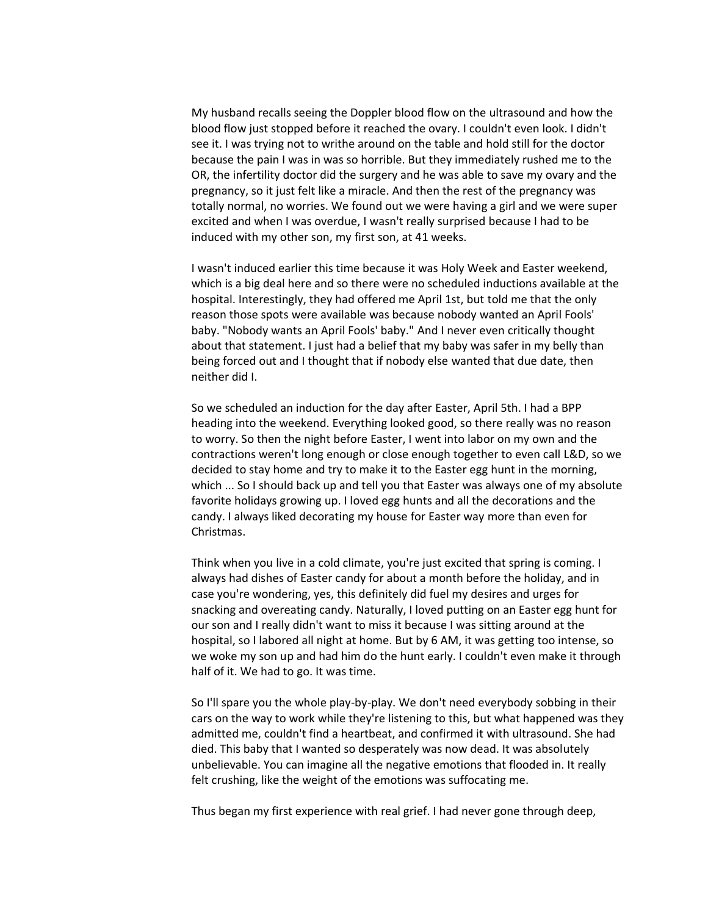My husband recalls seeing the Doppler blood flow on the ultrasound and how the blood flow just stopped before it reached the ovary. I couldn't even look. I didn't see it. I was trying not to writhe around on the table and hold still for the doctor because the pain I was in was so horrible. But they immediately rushed me to the OR, the infertility doctor did the surgery and he was able to save my ovary and the pregnancy, so it just felt like a miracle. And then the rest of the pregnancy was totally normal, no worries. We found out we were having a girl and we were super excited and when I was overdue, I wasn't really surprised because I had to be induced with my other son, my first son, at 41 weeks.

I wasn't induced earlier this time because it was Holy Week and Easter weekend, which is a big deal here and so there were no scheduled inductions available at the hospital. Interestingly, they had offered me April 1st, but told me that the only reason those spots were available was because nobody wanted an April Fools' baby. "Nobody wants an April Fools' baby." And I never even critically thought about that statement. I just had a belief that my baby was safer in my belly than being forced out and I thought that if nobody else wanted that due date, then neither did I.

So we scheduled an induction for the day after Easter, April 5th. I had a BPP heading into the weekend. Everything looked good, so there really was no reason to worry. So then the night before Easter, I went into labor on my own and the contractions weren't long enough or close enough together to even call L&D, so we decided to stay home and try to make it to the Easter egg hunt in the morning, which ... So I should back up and tell you that Easter was always one of my absolute favorite holidays growing up. I loved egg hunts and all the decorations and the candy. I always liked decorating my house for Easter way more than even for Christmas.

Think when you live in a cold climate, you're just excited that spring is coming. I always had dishes of Easter candy for about a month before the holiday, and in case you're wondering, yes, this definitely did fuel my desires and urges for snacking and overeating candy. Naturally, I loved putting on an Easter egg hunt for our son and I really didn't want to miss it because I was sitting around at the hospital, so I labored all night at home. But by 6 AM, it was getting too intense, so we woke my son up and had him do the hunt early. I couldn't even make it through half of it. We had to go. It was time.

So I'll spare you the whole play-by-play. We don't need everybody sobbing in their cars on the way to work while they're listening to this, but what happened was they admitted me, couldn't find a heartbeat, and confirmed it with ultrasound. She had died. This baby that I wanted so desperately was now dead. It was absolutely unbelievable. You can imagine all the negative emotions that flooded in. It really felt crushing, like the weight of the emotions was suffocating me.

Thus began my first experience with real grief. I had never gone through deep,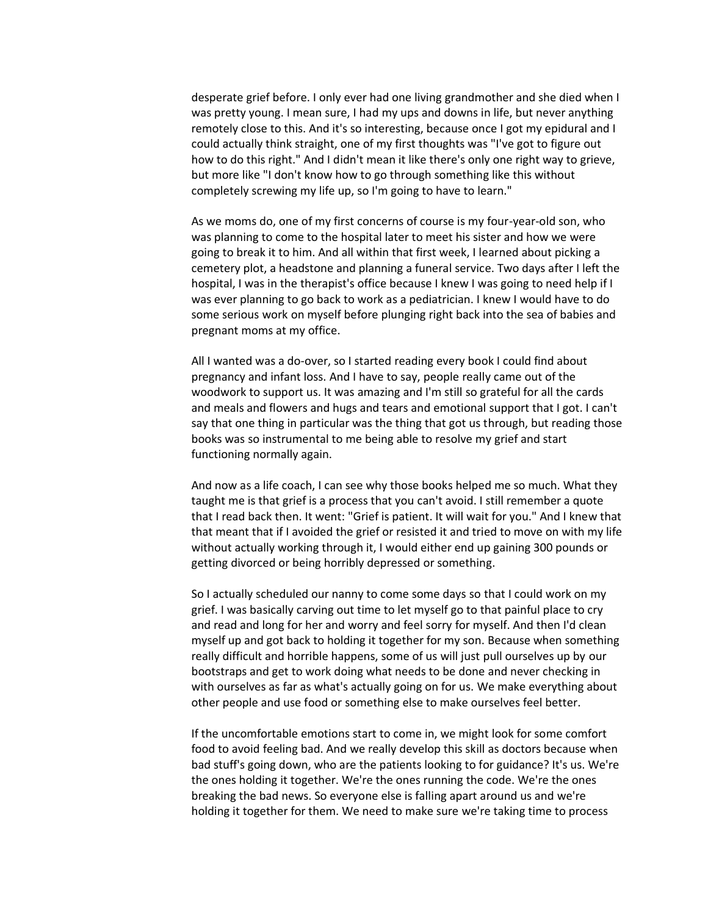desperate grief before. I only ever had one living grandmother and she died when I was pretty young. I mean sure, I had my ups and downs in life, but never anything remotely close to this. And it's so interesting, because once I got my epidural and I could actually think straight, one of my first thoughts was "I've got to figure out how to do this right." And I didn't mean it like there's only one right way to grieve, but more like "I don't know how to go through something like this without completely screwing my life up, so I'm going to have to learn."

As we moms do, one of my first concerns of course is my four-year-old son, who was planning to come to the hospital later to meet his sister and how we were going to break it to him. And all within that first week, I learned about picking a cemetery plot, a headstone and planning a funeral service. Two days after I left the hospital, I was in the therapist's office because I knew I was going to need help if I was ever planning to go back to work as a pediatrician. I knew I would have to do some serious work on myself before plunging right back into the sea of babies and pregnant moms at my office.

All I wanted was a do-over, so I started reading every book I could find about pregnancy and infant loss. And I have to say, people really came out of the woodwork to support us. It was amazing and I'm still so grateful for all the cards and meals and flowers and hugs and tears and emotional support that I got. I can't say that one thing in particular was the thing that got us through, but reading those books was so instrumental to me being able to resolve my grief and start functioning normally again.

And now as a life coach, I can see why those books helped me so much. What they taught me is that grief is a process that you can't avoid. I still remember a quote that I read back then. It went: "Grief is patient. It will wait for you." And I knew that that meant that if I avoided the grief or resisted it and tried to move on with my life without actually working through it, I would either end up gaining 300 pounds or getting divorced or being horribly depressed or something.

So I actually scheduled our nanny to come some days so that I could work on my grief. I was basically carving out time to let myself go to that painful place to cry and read and long for her and worry and feel sorry for myself. And then I'd clean myself up and got back to holding it together for my son. Because when something really difficult and horrible happens, some of us will just pull ourselves up by our bootstraps and get to work doing what needs to be done and never checking in with ourselves as far as what's actually going on for us. We make everything about other people and use food or something else to make ourselves feel better.

If the uncomfortable emotions start to come in, we might look for some comfort food to avoid feeling bad. And we really develop this skill as doctors because when bad stuff's going down, who are the patients looking to for guidance? It's us. We're the ones holding it together. We're the ones running the code. We're the ones breaking the bad news. So everyone else is falling apart around us and we're holding it together for them. We need to make sure we're taking time to process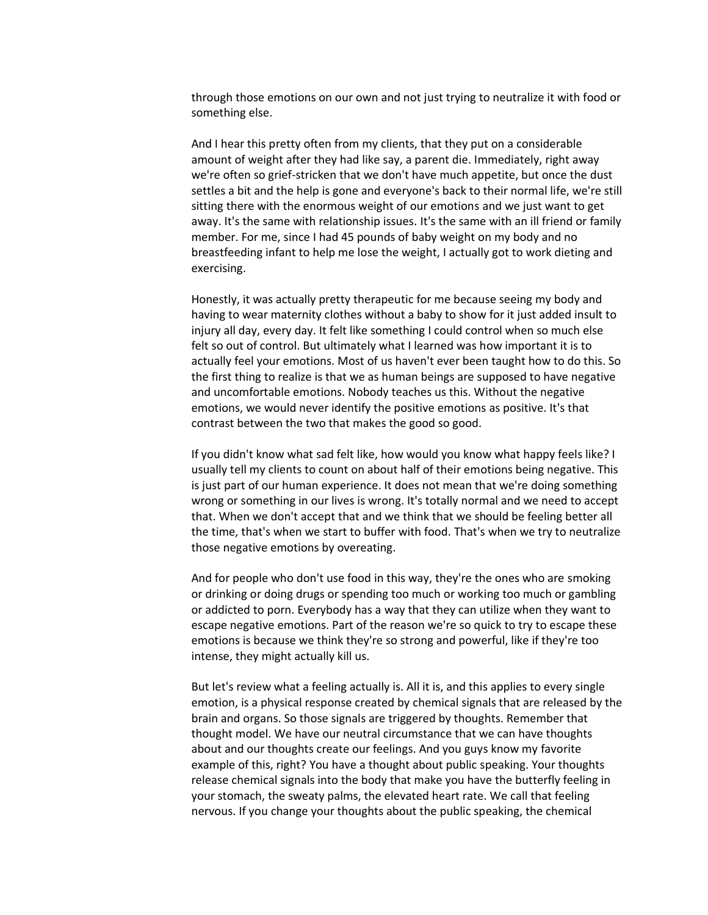through those emotions on our own and not just trying to neutralize it with food or something else.

And I hear this pretty often from my clients, that they put on a considerable amount of weight after they had like say, a parent die. Immediately, right away we're often so grief-stricken that we don't have much appetite, but once the dust settles a bit and the help is gone and everyone's back to their normal life, we're still sitting there with the enormous weight of our emotions and we just want to get away. It's the same with relationship issues. It's the same with an ill friend or family member. For me, since I had 45 pounds of baby weight on my body and no breastfeeding infant to help me lose the weight, I actually got to work dieting and exercising.

Honestly, it was actually pretty therapeutic for me because seeing my body and having to wear maternity clothes without a baby to show for it just added insult to injury all day, every day. It felt like something I could control when so much else felt so out of control. But ultimately what I learned was how important it is to actually feel your emotions. Most of us haven't ever been taught how to do this. So the first thing to realize is that we as human beings are supposed to have negative and uncomfortable emotions. Nobody teaches us this. Without the negative emotions, we would never identify the positive emotions as positive. It's that contrast between the two that makes the good so good.

If you didn't know what sad felt like, how would you know what happy feels like? I usually tell my clients to count on about half of their emotions being negative. This is just part of our human experience. It does not mean that we're doing something wrong or something in our lives is wrong. It's totally normal and we need to accept that. When we don't accept that and we think that we should be feeling better all the time, that's when we start to buffer with food. That's when we try to neutralize those negative emotions by overeating.

And for people who don't use food in this way, they're the ones who are smoking or drinking or doing drugs or spending too much or working too much or gambling or addicted to porn. Everybody has a way that they can utilize when they want to escape negative emotions. Part of the reason we're so quick to try to escape these emotions is because we think they're so strong and powerful, like if they're too intense, they might actually kill us.

But let's review what a feeling actually is. All it is, and this applies to every single emotion, is a physical response created by chemical signals that are released by the brain and organs. So those signals are triggered by thoughts. Remember that thought model. We have our neutral circumstance that we can have thoughts about and our thoughts create our feelings. And you guys know my favorite example of this, right? You have a thought about public speaking. Your thoughts release chemical signals into the body that make you have the butterfly feeling in your stomach, the sweaty palms, the elevated heart rate. We call that feeling nervous. If you change your thoughts about the public speaking, the chemical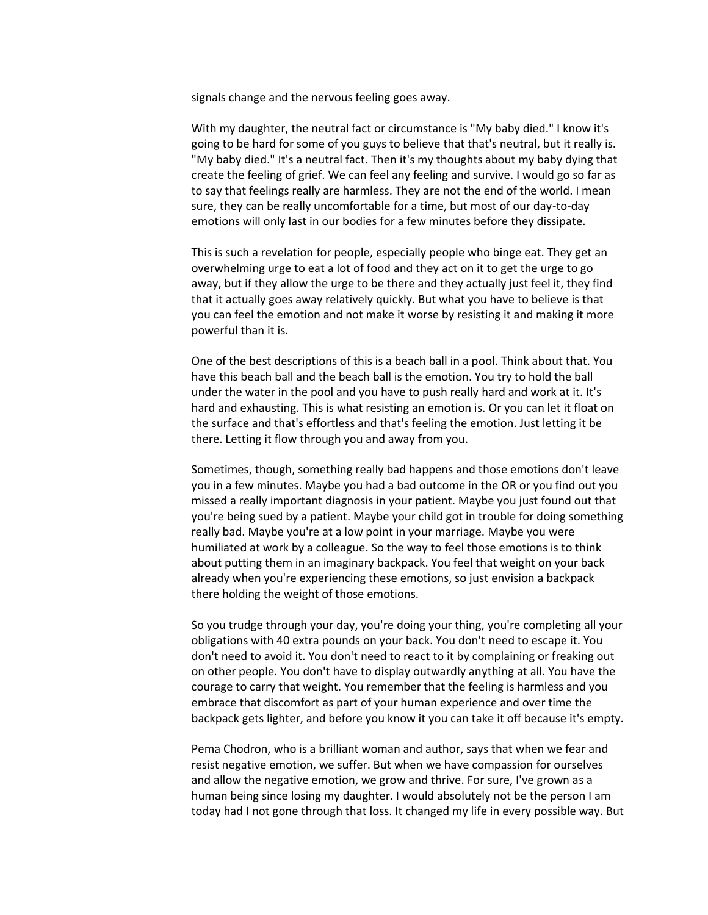signals change and the nervous feeling goes away.

With my daughter, the neutral fact or circumstance is "My baby died." I know it's going to be hard for some of you guys to believe that that's neutral, but it really is. "My baby died." It's a neutral fact. Then it's my thoughts about my baby dying that create the feeling of grief. We can feel any feeling and survive. I would go so far as to say that feelings really are harmless. They are not the end of the world. I mean sure, they can be really uncomfortable for a time, but most of our day-to-day emotions will only last in our bodies for a few minutes before they dissipate.

This is such a revelation for people, especially people who binge eat. They get an overwhelming urge to eat a lot of food and they act on it to get the urge to go away, but if they allow the urge to be there and they actually just feel it, they find that it actually goes away relatively quickly. But what you have to believe is that you can feel the emotion and not make it worse by resisting it and making it more powerful than it is.

One of the best descriptions of this is a beach ball in a pool. Think about that. You have this beach ball and the beach ball is the emotion. You try to hold the ball under the water in the pool and you have to push really hard and work at it. It's hard and exhausting. This is what resisting an emotion is. Or you can let it float on the surface and that's effortless and that's feeling the emotion. Just letting it be there. Letting it flow through you and away from you.

Sometimes, though, something really bad happens and those emotions don't leave you in a few minutes. Maybe you had a bad outcome in the OR or you find out you missed a really important diagnosis in your patient. Maybe you just found out that you're being sued by a patient. Maybe your child got in trouble for doing something really bad. Maybe you're at a low point in your marriage. Maybe you were humiliated at work by a colleague. So the way to feel those emotions is to think about putting them in an imaginary backpack. You feel that weight on your back already when you're experiencing these emotions, so just envision a backpack there holding the weight of those emotions.

So you trudge through your day, you're doing your thing, you're completing all your obligations with 40 extra pounds on your back. You don't need to escape it. You don't need to avoid it. You don't need to react to it by complaining or freaking out on other people. You don't have to display outwardly anything at all. You have the courage to carry that weight. You remember that the feeling is harmless and you embrace that discomfort as part of your human experience and over time the backpack gets lighter, and before you know it you can take it off because it's empty.

Pema Chodron, who is a brilliant woman and author, says that when we fear and resist negative emotion, we suffer. But when we have compassion for ourselves and allow the negative emotion, we grow and thrive. For sure, I've grown as a human being since losing my daughter. I would absolutely not be the person I am today had I not gone through that loss. It changed my life in every possible way. But